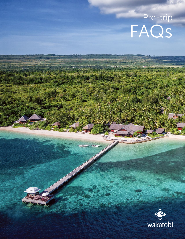# Pre-trip FAQs

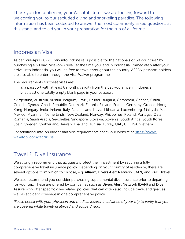Thank you for confirming your Wakatobi trip – we are looking forward to welcoming you to our secluded diving and snorkeling paradise. The following information has been collected to answer the most commonly asked questions at this stage, and to aid you in your preparation for the trip of a lifetime.

## Indonesian Visa

As per mid-April 2022: Entry into Indonesia is possible for the nationals of 60 countries\* by purchasing a 30 day "Visa-on-Arrival" at the time you land in Indonesia. Immediately after your arrival into Indonesia, you will be free to travel throughout the country. ASEAN passport holders are also able to enter through the Visa-Waiver programme.

The requirements for these visas are:

- a) a passport with at least 6 months validity from the day you arrive in Indonesia,
- b) at least one totally empty blank page in your passport.

\* Argentina, Australia, Austria, Belgium, Brazil, Brunei, Bulgaria, Cambodia, Canada, China, Croatia, Cyprus, Czech Republic, Denmark, Estonia, Finland, France, Germany, Greece, Hong Kong, Hungary, India, Ireland, Italy, Japan, Laos, Latvia, Lithuania, Luxembourg, Malaysia, Malta, Mexico, Myanmar, Netherlands, New Zealand, Norway, Philippines, Poland, Portugal, Qatar, Romania, Saudi Arabia, Seychelles, Singapore, Slovakia, Slovenia, South Africa, South Korea, Spain, Sweden, Switzerland, Taiwan, Thailand, Tunisia, Turkey, UAE, UK, USA, Vietnam.

For additional info on Indonesian Visa requirements check our website at [https://www.](https://www.wakatobi.com/faq/#visa) [wakatobi.com/faq/#visa.](https://www.wakatobi.com/faq/#visa)

# Travel & Dive Insurance

We strongly recommend that all guests protect their investment by securing a fully comprehensive travel insurance policy. Depending on your country of residence, there are several options from which to choose, e.g. Allianz, Divers Alert Network (DAN) and PADI Travel.

We also recommend you consider purchasing supplemental dive insurance prior to departing for your trip. These are offered by companies such as Divers Alert Network (DAN) and Dive Assure who offer specific dive-related policies that can often also include travel and gear, as well as accident coverage in one comprehensive policy.

*Please check with your physician and medical insurer in advance of your trip to verify that you are covered while traveling abroad and scuba diving.*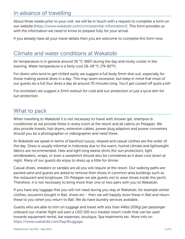#### In advance of travelling

About three weeks prior to your visit, we will be in touch with a request to complete a form on our website (https://www.wakatobi.com/crm/essential-information/). This form provides us with the information we need to know to prepare fully for your arrival.

If you already have all your travel details then you are welcome to complete this form now.

## Climate and water conditions at Wakatobi

Air temperature is in general around 30 °C (86F) during the day and nicely cooler in the evening. Water temperature is a fairly cool 26-28 °C (79-82°F).

For divers who tend to get chilled easily we suggest a full body 5mm dive suit, especially for those making several dives in a day. This may seem excessive, but keep in mind that most of our guests do a full four dives a day all around 70 minutes long. You'll get cooled off quite a bit!

For snorkelers we suggest a 3mm wetsuit for cold and sun protection or just a lycra skin for sun protection.

# What to pack

When travelling to Wakatobi it is not necessary to travel with shower gel, shampoo  $\theta$ conditioner as we provide these in every room at the resort and all cabins on Pelagian. We also provide towels, hair dryers, extension cables, power plug adaptors and power converters should you be a photographer or videographer and need these.

At Wakatobi we speak in terms of barefoot luxury; relaxed and casual clothes are the order of the day. Dress is usually informal in Indonesia due to the warm, humid climate and lightweight fabrics are recommended. Hats and light long sleeve shirts (for sun protection), light windbreakers, wraps, or even a sweatshirt should also be considered as it does cool down at night. Many of our guests do enjoy to dress up a little for dinner.

Casual shoes, sneakers or sandals are all you will require at the resort. Our walking paths are packed sand and guests are asked to remove their shoes in common area buildings such as the restaurant and longhouse. On Pelagian we ask guests not to wear shoes inside the yacht. Therefore, it is not necessary to bring more than one or two pairs with you to Wakatobi.

If you have any luggage that you will not need during you stay at Wakatobi, for example winter clothes, souvenirs bought in Bali, shoes etc - then we will happily store these in Bali and return these to you when you return to Bali. We do have laundry services available.

Guests who are able to trim on luggage and travel with less than 44lbs (20Kg) per passenger onboard our charter flight will earn a USD 100 eco traveler resort credit that can be used towards equipment rental, bar expenses, boutique, Spa treatments etc. More info on https://www.wakatobi.com/faq/#luggage.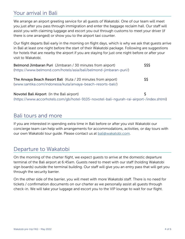# Your arrival in Bali

We arrange an airport greeting service for all guests of Wakatobi. One of our team will meet you just after you pass through immigration and enter the baggage reclaim hall. Our staff will assist you with claiming luggage and escort you out through customs to meet your driver (if there is one arranged) or show you to the airport taxi counter.

Our flight departs Bali early in the morning on flight days, which is why we ask that guests arrive in Bali at least one night before the start of their Wakatobi package. Following are suggestions for hotels that are nearby the airport if you are staying for just one night before or after your visit to Wakatobi.

| Belmond Jimbaran Puri (Jimbaran / 30 minutes from airport)                               | \$\$\$ |
|------------------------------------------------------------------------------------------|--------|
| (https://www.belmond.com/hotels/asia/bali/belmond-jimbaran-puri/)                        |        |
| The Anvaya Beach Resort Bali (Kuta / 20 minutes from airport)                            | SS.    |
| (www.santika.com/indonesia/kuta/anvaya-beach-resorts-bali/)                              |        |
| Novotel Bali Airport (In the Bali airport)                                               |        |
| (https://www.accorhotels.com/gb/hotel-9105-novotel-bali-ngurah-rai-airport-/index.shtml) |        |

# Bali tours and more

If you are interested in spending extra time in Bali before or after you visit Wakatobi our concierge team can help with arrangements for accommodations, activities, or day tours with our own Wakatobi tour guide. Please contact us at **bali@wakatobi.com**.

# Departure to Wakatobi

On the morning of the charter flight, we expect guests to arrive at the domestic departure terminal of the Bali airport at 6:45am. Guests need to meet with our staff (holding Wakatobi sign boards) outside the terminal building. Our staff will give you an entry pass that will get you through the security barrier.

On the other side of the barrier, you will meet with more Wakatobi staff. There is no need for tickets / confirmation documents on our charter as we personally assist all guests through check-in. We will take your luggage and escort you to the VIP lounge to wait for our flight.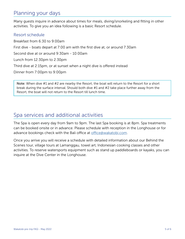# Planning your days

Many guests inquire in advance about times for meals, diving/snorkeling and fitting in other activities. To give you an idea following is a basic Resort schedule.

#### Resort schedule

Breakfast from 6:30 to 9:00am First dive - boats depart at 7:00 am with the first dive at, or around 7:30am Second dive at or around 9:30am - 10:00am Lunch from 12:30pm to 2:30pm Third dive at 2:15pm, or at sunset when a night dive is offered instead Dinner from 7:00pm to 9:00pm

Note: When dive #1 and #2 are nearby the Resort, the boat will return to the Resort for a short break during the surface interval. Should both dive #1 and #2 take place further away from the Resort, the boat will not return to the Resort till lunch time.

# Spa services and additional activities

The Spa is open every day from 9am to 9pm. The last Spa booking is at 8pm. Spa treatments can be booked onsite or in advance. Please schedule with reception in the Longhouse or for advance bookings check with the Bali office at [office@wakatobi.com](mailto:office@wakatobi.com).

Once you arrive you will receive a schedule with detailed information about our Behind the Scenes tour, village tours at Lamanggau, towel art, Indonesian cooking classes and other activities. To reserve watersports equipment such as stand up paddleboards or kayaks, you can inquire at the Dive Center in the Longhouse.